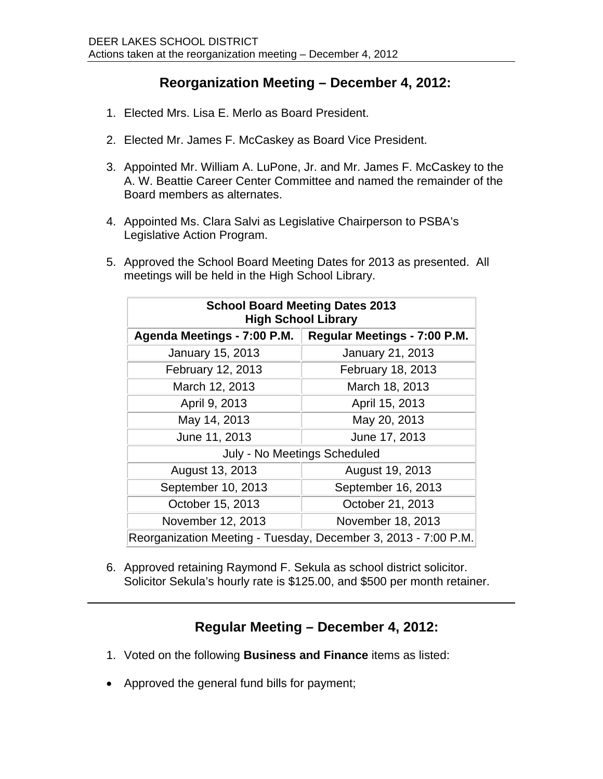## **Reorganization Meeting – December 4, 2012:**

- 1. Elected Mrs. Lisa E. Merlo as Board President.
- 2. Elected Mr. James F. McCaskey as Board Vice President.
- 3. Appointed Mr. William A. LuPone, Jr. and Mr. James F. McCaskey to the A. W. Beattie Career Center Committee and named the remainder of the Board members as alternates.
- 4. Appointed Ms. Clara Salvi as Legislative Chairperson to PSBA's Legislative Action Program.
- 5. Approved the School Board Meeting Dates for 2013 as presented. All meetings will be held in the High School Library.

| <b>School Board Meeting Dates 2013</b><br><b>High School Library</b> |                              |
|----------------------------------------------------------------------|------------------------------|
| Agenda Meetings - 7:00 P.M.                                          | Regular Meetings - 7:00 P.M. |
| <b>January 15, 2013</b>                                              | January 21, 2013             |
| February 12, 2013                                                    | February 18, 2013            |
| March 12, 2013                                                       | March 18, 2013               |
| April 9, 2013                                                        | April 15, 2013               |
| May 14, 2013                                                         | May 20, 2013                 |
| June 11, 2013                                                        | June 17, 2013                |
| July - No Meetings Scheduled                                         |                              |
| August 13, 2013                                                      | August 19, 2013              |
| September 10, 2013                                                   | September 16, 2013           |
| October 15, 2013                                                     | October 21, 2013             |
| November 12, 2013                                                    | November 18, 2013            |
| Reorganization Meeting - Tuesday, December 3, 2013 - 7:00 P.M.       |                              |

6. Approved retaining Raymond F. Sekula as school district solicitor. Solicitor Sekula's hourly rate is \$125.00, and \$500 per month retainer.

## **Regular Meeting – December 4, 2012:**

- 1. Voted on the following **Business and Finance** items as listed:
- Approved the general fund bills for payment;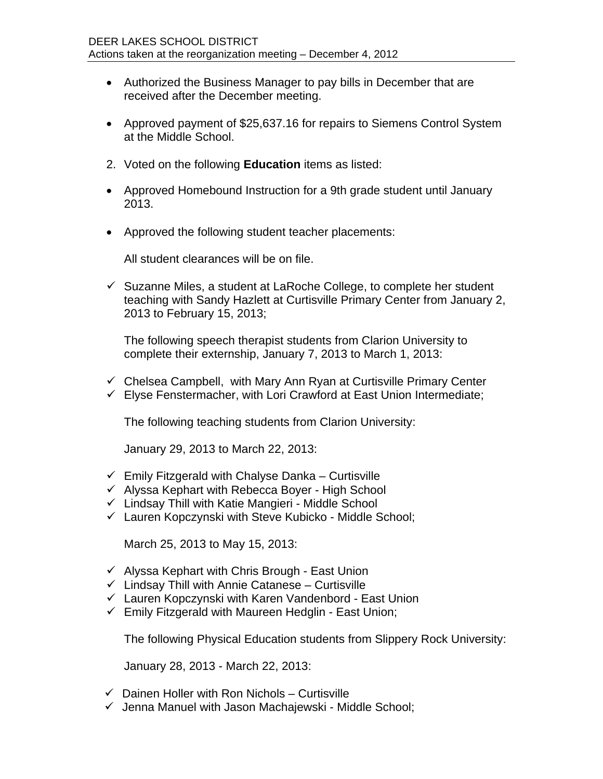- Authorized the Business Manager to pay bills in December that are received after the December meeting.
- Approved payment of \$25,637.16 for repairs to Siemens Control System at the Middle School.
- 2. Voted on the following **Education** items as listed:
- Approved Homebound Instruction for a 9th grade student until January 2013.
- Approved the following student teacher placements:

All student clearances will be on file.

 $\checkmark$  Suzanne Miles, a student at LaRoche College, to complete her student teaching with Sandy Hazlett at Curtisville Primary Center from January 2, 2013 to February 15, 2013;

The following speech therapist students from Clarion University to complete their externship, January 7, 2013 to March 1, 2013:

 $\checkmark$  Chelsea Campbell, with Mary Ann Ryan at Curtisville Primary Center  $\checkmark$  Elyse Fenstermacher, with Lori Crawford at East Union Intermediate;

The following teaching students from Clarion University:

January 29, 2013 to March 22, 2013:

- $\checkmark$  Emily Fitzgerald with Chalyse Danka Curtisville
- $\checkmark$  Alyssa Kephart with Rebecca Boyer High School
- $\checkmark$  Lindsay Thill with Katie Mangieri Middle School
- Lauren Kopczynski with Steve Kubicko Middle School;

March 25, 2013 to May 15, 2013:

- $\checkmark$  Alyssa Kephart with Chris Brough East Union
- $\checkmark$  Lindsay Thill with Annie Catanese Curtisville
- $\checkmark$  Lauren Kopczynski with Karen Vandenbord East Union
- $\checkmark$  Emily Fitzgerald with Maureen Hedglin East Union;

The following Physical Education students from Slippery Rock University:

January 28, 2013 - March 22, 2013:

- $\checkmark$  Dainen Holler with Ron Nichols Curtisville
- $\checkmark$  Jenna Manuel with Jason Machajewski Middle School;